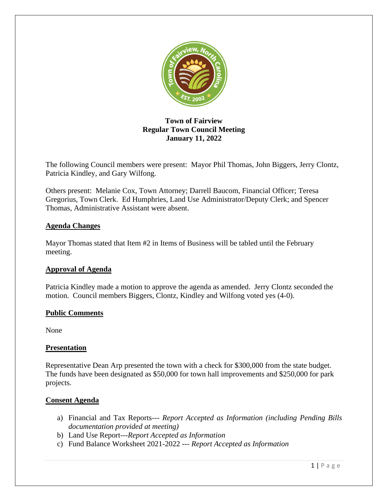

# **Town of Fairview Regular Town Council Meeting January 11, 2022**

The following Council members were present: Mayor Phil Thomas, John Biggers, Jerry Clontz, Patricia Kindley, and Gary Wilfong.

Others present: Melanie Cox, Town Attorney; Darrell Baucom, Financial Officer; Teresa Gregorius, Town Clerk. Ed Humphries, Land Use Administrator/Deputy Clerk; and Spencer Thomas, Administrative Assistant were absent.

## **Agenda Changes**

Mayor Thomas stated that Item #2 in Items of Business will be tabled until the February meeting.

## **Approval of Agenda**

Patricia Kindley made a motion to approve the agenda as amended. Jerry Clontz seconded the motion. Council members Biggers, Clontz, Kindley and Wilfong voted yes (4-0).

## **Public Comments**

None

## **Presentation**

Representative Dean Arp presented the town with a check for \$300,000 from the state budget. The funds have been designated as \$50,000 for town hall improvements and \$250,000 for park projects.

## **Consent Agenda**

- a) Financial and Tax Reports--- *Report Accepted as Information (including Pending Bills documentation provided at meeting)*
- b) Land Use Report---*Report Accepted as Information*
- c) Fund Balance Worksheet 2021-2022 --- *Report Accepted as Information*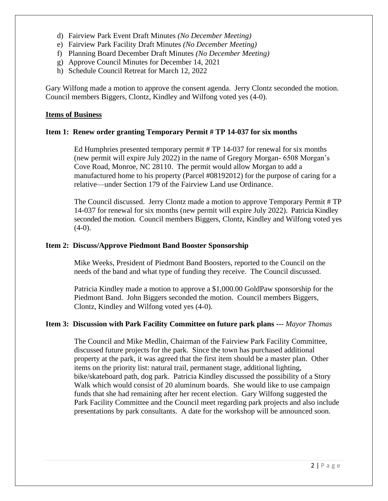- d) Fairview Park Event Draft Minutes *(No December Meeting)*
- e) Fairview Park Facility Draft Minutes *(No December Meeting)*
- f) Planning Board December Draft Minutes *(No December Meeting)*
- g) Approve Council Minutes for December 14, 2021
- h) Schedule Council Retreat for March 12, 2022

Gary Wilfong made a motion to approve the consent agenda. Jerry Clontz seconded the motion. Council members Biggers, Clontz, Kindley and Wilfong voted yes (4-0).

#### **Items of Business**

#### **Item 1: Renew order granting Temporary Permit # TP 14-037 for six months**

Ed Humphries presented temporary permit # TP 14-037 for renewal for six months (new permit will expire July 2022) in the name of Gregory Morgan- 6508 Morgan's Cove Road, Monroe, NC 28110. The permit would allow Morgan to add a manufactured home to his property (Parcel #08192012) for the purpose of caring for a relative—under Section 179 of the Fairview Land use Ordinance.

The Council discussed. Jerry Clontz made a motion to approve Temporary Permit # TP 14-037 for renewal for six months (new permit will expire July 2022). Patricia Kindley seconded the motion. Council members Biggers, Clontz, Kindley and Wilfong voted yes  $(4-0)$ .

#### **Item 2: Discuss/Approve Piedmont Band Booster Sponsorship**

Mike Weeks, President of Piedmont Band Boosters, reported to the Council on the needs of the band and what type of funding they receive. The Council discussed.

Patricia Kindley made a motion to approve a \$1,000.00 GoldPaw sponsorship for the Piedmont Band. John Biggers seconded the motion. Council members Biggers, Clontz, Kindley and Wilfong voted yes (4-0).

## **Item 3: Discussion with Park Facility Committee on future park plans ---** *Mayor Thomas*

The Council and Mike Medlin, Chairman of the Fairview Park Facility Committee, discussed future projects for the park. Since the town has purchased additional property at the park, it was agreed that the first item should be a master plan. Other items on the priority list: natural trail, permanent stage, additional lighting, bike/skateboard path, dog park. Patricia Kindley discussed the possibility of a Story Walk which would consist of 20 aluminum boards. She would like to use campaign funds that she had remaining after her recent election. Gary Wilfong suggested the Park Facility Committee and the Council meet regarding park projects and also include presentations by park consultants. A date for the workshop will be announced soon.